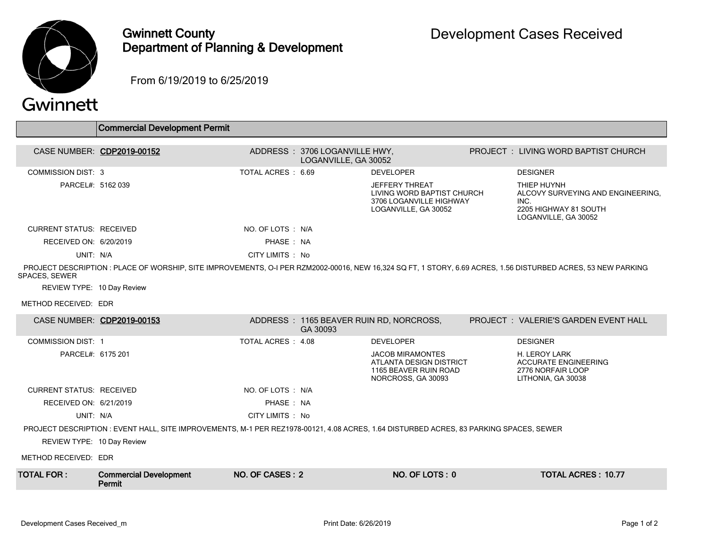

## Gwinnett County Department of Planning & Development

From 6/19/2019 to 6/25/2019

## Gwinnett

|                                                                                                                                                                                       | <b>Commercial Development Permit</b>    |                    |                                                       |                                                                                                        |  |                                                                                                           |  |  |
|---------------------------------------------------------------------------------------------------------------------------------------------------------------------------------------|-----------------------------------------|--------------------|-------------------------------------------------------|--------------------------------------------------------------------------------------------------------|--|-----------------------------------------------------------------------------------------------------------|--|--|
|                                                                                                                                                                                       |                                         |                    |                                                       |                                                                                                        |  |                                                                                                           |  |  |
| CASE NUMBER: CDP2019-00152                                                                                                                                                            |                                         |                    | ADDRESS: 3706 LOGANVILLE HWY,<br>LOGANVILLE, GA 30052 |                                                                                                        |  | <b>PROJECT : LIVING WORD BAPTIST CHURCH</b>                                                               |  |  |
| <b>COMMISSION DIST: 3</b>                                                                                                                                                             |                                         | TOTAL ACRES : 6.69 |                                                       | <b>DEVELOPER</b>                                                                                       |  | <b>DESIGNER</b>                                                                                           |  |  |
| PARCEL#: 5162 039                                                                                                                                                                     |                                         |                    |                                                       | <b>JEFFERY THREAT</b><br>LIVING WORD BAPTIST CHURCH<br>3706 LOGANVILLE HIGHWAY<br>LOGANVILLE, GA 30052 |  | THIEP HUYNH<br>ALCOVY SURVEYING AND ENGINEERING.<br>INC.<br>2205 HIGHWAY 81 SOUTH<br>LOGANVILLE, GA 30052 |  |  |
| <b>CURRENT STATUS: RECEIVED</b>                                                                                                                                                       |                                         | NO. OF LOTS : N/A  |                                                       |                                                                                                        |  |                                                                                                           |  |  |
| RECEIVED ON: 6/20/2019                                                                                                                                                                |                                         | PHASE: NA          |                                                       |                                                                                                        |  |                                                                                                           |  |  |
| UNIT: N/A                                                                                                                                                                             |                                         | CITY LIMITS : No   |                                                       |                                                                                                        |  |                                                                                                           |  |  |
| PROJECT DESCRIPTION : PLACE OF WORSHIP, SITE IMPROVEMENTS, O-I PER RZM2002-00016, NEW 16,324 SQ FT, 1 STORY, 6.69 ACRES, 1.56 DISTURBED ACRES, 53 NEW PARKING<br><b>SPACES, SEWER</b> |                                         |                    |                                                       |                                                                                                        |  |                                                                                                           |  |  |
| REVIEW TYPE: 10 Day Review                                                                                                                                                            |                                         |                    |                                                       |                                                                                                        |  |                                                                                                           |  |  |
| METHOD RECEIVED: EDR                                                                                                                                                                  |                                         |                    |                                                       |                                                                                                        |  |                                                                                                           |  |  |
| CASE NUMBER: CDP2019-00153                                                                                                                                                            |                                         |                    | GA 30093                                              | ADDRESS: 1165 BEAVER RUIN RD, NORCROSS,                                                                |  | <b>PROJECT: VALERIE'S GARDEN EVENT HALL</b>                                                               |  |  |
| <b>COMMISSION DIST: 1</b>                                                                                                                                                             |                                         | TOTAL ACRES : 4.08 |                                                       | <b>DEVELOPER</b>                                                                                       |  | <b>DESIGNER</b>                                                                                           |  |  |
| PARCEL#: 6175 201                                                                                                                                                                     |                                         |                    |                                                       | <b>JACOB MIRAMONTES</b><br>ATLANTA DESIGN DISTRICT<br>1165 BEAVER RUIN ROAD<br>NORCROSS, GA 30093      |  | H. LEROY LARK<br><b>ACCURATE ENGINEERING</b><br>2776 NORFAIR LOOP<br>LITHONIA, GA 30038                   |  |  |
| <b>CURRENT STATUS: RECEIVED</b>                                                                                                                                                       |                                         | NO. OF LOTS : N/A  |                                                       |                                                                                                        |  |                                                                                                           |  |  |
| RECEIVED ON: 6/21/2019                                                                                                                                                                |                                         | PHASE: NA          |                                                       |                                                                                                        |  |                                                                                                           |  |  |
| UNIT: N/A                                                                                                                                                                             |                                         | CITY LIMITS : No   |                                                       |                                                                                                        |  |                                                                                                           |  |  |
| PROJECT DESCRIPTION : EVENT HALL, SITE IMPROVEMENTS, M-1 PER REZ1978-00121, 4.08 ACRES, 1.64 DISTURBED ACRES, 83 PARKING SPACES, SEWER                                                |                                         |                    |                                                       |                                                                                                        |  |                                                                                                           |  |  |
| REVIEW TYPE: 10 Day Review                                                                                                                                                            |                                         |                    |                                                       |                                                                                                        |  |                                                                                                           |  |  |
| METHOD RECEIVED: EDR                                                                                                                                                                  |                                         |                    |                                                       |                                                                                                        |  |                                                                                                           |  |  |
| <b>TOTAL FOR :</b>                                                                                                                                                                    | <b>Commercial Development</b><br>Permit | NO. OF CASES: 2    |                                                       | NO. OF LOTS: 0                                                                                         |  | <b>TOTAL ACRES: 10.77</b>                                                                                 |  |  |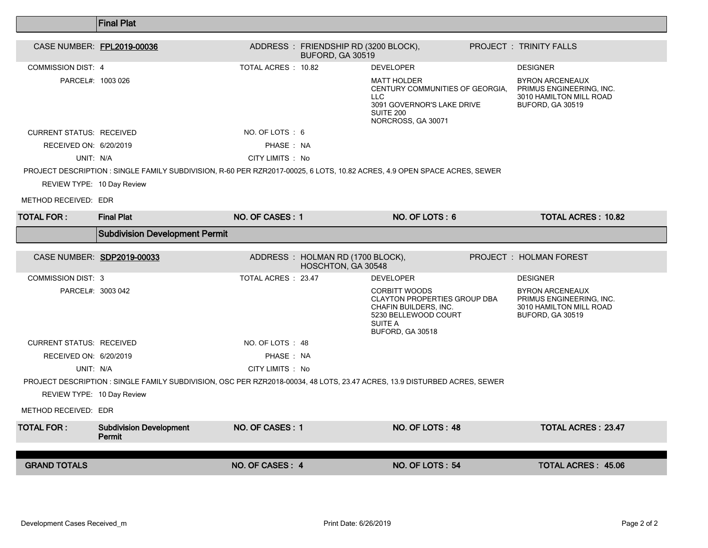|                                 | <b>Final Plat</b>                                                                                                         |                     |                                                           |                                                                                                                                             |  |                                                                                                          |  |  |
|---------------------------------|---------------------------------------------------------------------------------------------------------------------------|---------------------|-----------------------------------------------------------|---------------------------------------------------------------------------------------------------------------------------------------------|--|----------------------------------------------------------------------------------------------------------|--|--|
| CASE NUMBER: FPL2019-00036      |                                                                                                                           |                     | ADDRESS : FRIENDSHIP RD (3200 BLOCK),<br>BUFORD, GA 30519 |                                                                                                                                             |  | <b>PROJECT : TRINITY FALLS</b>                                                                           |  |  |
| <b>COMMISSION DIST: 4</b>       |                                                                                                                           | TOTAL ACRES : 10.82 |                                                           | <b>DEVELOPER</b>                                                                                                                            |  | <b>DESIGNER</b>                                                                                          |  |  |
| PARCEL#: 1003 026               |                                                                                                                           |                     |                                                           | <b>MATT HOLDER</b><br>CENTURY COMMUNITIES OF GEORGIA.<br><b>LLC</b><br>3091 GOVERNOR'S LAKE DRIVE<br><b>SUITE 200</b><br>NORCROSS, GA 30071 |  | <b>BYRON ARCENEAUX</b><br>PRIMUS ENGINEERING, INC.<br>3010 HAMILTON MILL ROAD<br><b>BUFORD, GA 30519</b> |  |  |
| <b>CURRENT STATUS: RECEIVED</b> |                                                                                                                           | NO. OF LOTS: 6      |                                                           |                                                                                                                                             |  |                                                                                                          |  |  |
| RECEIVED ON: 6/20/2019          |                                                                                                                           | PHASE: NA           |                                                           |                                                                                                                                             |  |                                                                                                          |  |  |
| UNIT: N/A                       |                                                                                                                           | CITY LIMITS : No    |                                                           |                                                                                                                                             |  |                                                                                                          |  |  |
|                                 | PROJECT DESCRIPTION : SINGLE FAMILY SUBDIVISION, R-60 PER RZR2017-00025, 6 LOTS, 10.82 ACRES, 4.9 OPEN SPACE ACRES, SEWER |                     |                                                           |                                                                                                                                             |  |                                                                                                          |  |  |
| REVIEW TYPE: 10 Day Review      |                                                                                                                           |                     |                                                           |                                                                                                                                             |  |                                                                                                          |  |  |
| METHOD RECEIVED: EDR            |                                                                                                                           |                     |                                                           |                                                                                                                                             |  |                                                                                                          |  |  |
| <b>TOTAL FOR :</b>              | <b>Final Plat</b>                                                                                                         | NO. OF CASES: 1     |                                                           | NO. OF LOTS: 6                                                                                                                              |  | <b>TOTAL ACRES: 10.82</b>                                                                                |  |  |
|                                 | <b>Subdivision Development Permit</b>                                                                                     |                     |                                                           |                                                                                                                                             |  |                                                                                                          |  |  |
|                                 |                                                                                                                           |                     |                                                           |                                                                                                                                             |  |                                                                                                          |  |  |
|                                 |                                                                                                                           |                     |                                                           |                                                                                                                                             |  |                                                                                                          |  |  |
|                                 | CASE NUMBER: SDP2019-00033                                                                                                |                     | ADDRESS: HOLMAN RD (1700 BLOCK),<br>HOSCHTON, GA 30548    |                                                                                                                                             |  | <b>PROJECT : HOLMAN FOREST</b>                                                                           |  |  |
| <b>COMMISSION DIST: 3</b>       |                                                                                                                           | TOTAL ACRES : 23.47 |                                                           | <b>DEVELOPER</b>                                                                                                                            |  | <b>DESIGNER</b>                                                                                          |  |  |
| PARCEL#: 3003 042               |                                                                                                                           |                     |                                                           | <b>CORBITT WOODS</b><br>CLAYTON PROPERTIES GROUP DBA<br>CHAFIN BUILDERS, INC.<br>5230 BELLEWOOD COURT<br>SUITE A<br>BUFORD, GA 30518        |  | <b>BYRON ARCENEAUX</b><br>PRIMUS ENGINEERING, INC.<br>3010 HAMILTON MILL ROAD<br>BUFORD, GA 30519        |  |  |
| <b>CURRENT STATUS: RECEIVED</b> |                                                                                                                           | NO. OF LOTS : 48    |                                                           |                                                                                                                                             |  |                                                                                                          |  |  |
| RECEIVED ON: 6/20/2019          |                                                                                                                           | PHASE: NA           |                                                           |                                                                                                                                             |  |                                                                                                          |  |  |
| UNIT: N/A                       |                                                                                                                           | CITY LIMITS : No    |                                                           |                                                                                                                                             |  |                                                                                                          |  |  |
|                                 | PROJECT DESCRIPTION : SINGLE FAMILY SUBDIVISION, OSC PER RZR2018-00034, 48 LOTS, 23.47 ACRES, 13.9 DISTURBED ACRES, SEWER |                     |                                                           |                                                                                                                                             |  |                                                                                                          |  |  |
| REVIEW TYPE: 10 Day Review      |                                                                                                                           |                     |                                                           |                                                                                                                                             |  |                                                                                                          |  |  |
| METHOD RECEIVED: EDR            |                                                                                                                           |                     |                                                           |                                                                                                                                             |  |                                                                                                          |  |  |
| <b>TOTAL FOR :</b>              | <b>Subdivision Development</b><br>Permit                                                                                  | NO. OF CASES: 1     |                                                           | <b>NO. OF LOTS: 48</b>                                                                                                                      |  | <b>TOTAL ACRES: 23.47</b>                                                                                |  |  |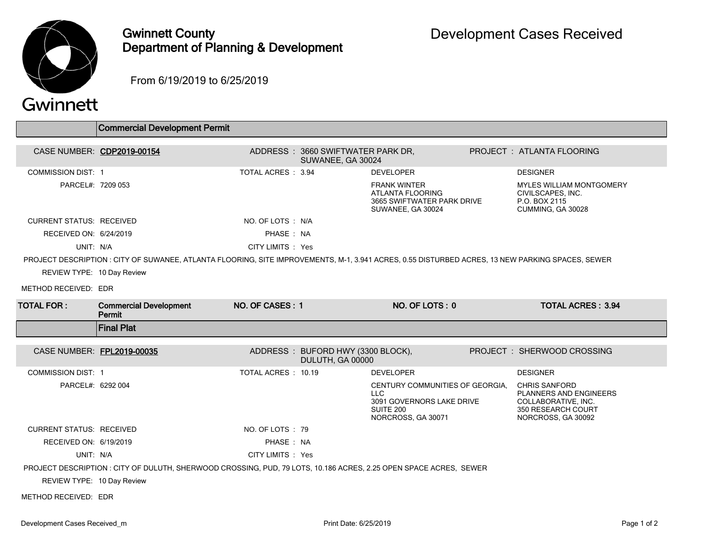

## Gwinnett County Department of Planning & Development

From 6/19/2019 to 6/25/2019

## Gwinnett

|                                 | <b>Commercial Development Permit</b>                                                                                                             |                    |                                                        |                                                                                                         |                                                                                                                   |  |
|---------------------------------|--------------------------------------------------------------------------------------------------------------------------------------------------|--------------------|--------------------------------------------------------|---------------------------------------------------------------------------------------------------------|-------------------------------------------------------------------------------------------------------------------|--|
|                                 |                                                                                                                                                  |                    |                                                        |                                                                                                         |                                                                                                                   |  |
|                                 | CASE NUMBER: CDP2019-00154                                                                                                                       |                    | ADDRESS: 3660 SWIFTWATER PARK DR,<br>SUWANEE, GA 30024 |                                                                                                         | PROJECT: ATLANTA FLOORING                                                                                         |  |
| <b>COMMISSION DIST: 1</b>       |                                                                                                                                                  | TOTAL ACRES: 3.94  |                                                        | <b>DEVELOPER</b>                                                                                        | <b>DESIGNER</b>                                                                                                   |  |
| PARCEL#: 7209 053               |                                                                                                                                                  |                    |                                                        | <b>FRANK WINTER</b><br>ATLANTA FLOORING<br>3665 SWIFTWATER PARK DRIVE<br>SUWANEE, GA 30024              | <b>MYLES WILLIAM MONTGOMERY</b><br>CIVILSCAPES. INC.<br>P.O. BOX 2115<br>CUMMING, GA 30028                        |  |
| <b>CURRENT STATUS: RECEIVED</b> |                                                                                                                                                  | NO. OF LOTS : N/A  |                                                        |                                                                                                         |                                                                                                                   |  |
| RECEIVED ON: 6/24/2019          |                                                                                                                                                  | PHASE: NA          |                                                        |                                                                                                         |                                                                                                                   |  |
| UNIT: N/A                       |                                                                                                                                                  | CITY LIMITS : Yes  |                                                        |                                                                                                         |                                                                                                                   |  |
|                                 | PROJECT DESCRIPTION : CITY OF SUWANEE, ATLANTA FLOORING, SITE IMPROVEMENTS, M-1, 3.941 ACRES, 0.55 DISTURBED ACRES, 13 NEW PARKING SPACES, SEWER |                    |                                                        |                                                                                                         |                                                                                                                   |  |
| REVIEW TYPE: 10 Day Review      |                                                                                                                                                  |                    |                                                        |                                                                                                         |                                                                                                                   |  |
| METHOD RECEIVED: EDR            |                                                                                                                                                  |                    |                                                        |                                                                                                         |                                                                                                                   |  |
| <b>TOTAL FOR:</b>               | <b>Commercial Development</b><br>Permit                                                                                                          | NO. OF CASES: 1    |                                                        | NO. OF LOTS: 0                                                                                          | <b>TOTAL ACRES: 3.94</b>                                                                                          |  |
|                                 |                                                                                                                                                  |                    |                                                        |                                                                                                         |                                                                                                                   |  |
|                                 | <b>Final Plat</b>                                                                                                                                |                    |                                                        |                                                                                                         |                                                                                                                   |  |
|                                 |                                                                                                                                                  |                    |                                                        |                                                                                                         |                                                                                                                   |  |
| CASE NUMBER: FPL2019-00035      |                                                                                                                                                  |                    | ADDRESS: BUFORD HWY (3300 BLOCK),<br>DULUTH, GA 00000  |                                                                                                         | PROJECT: SHERWOOD CROSSING                                                                                        |  |
| <b>COMMISSION DIST: 1</b>       |                                                                                                                                                  | TOTAL ACRES: 10.19 |                                                        | <b>DEVELOPER</b>                                                                                        | <b>DESIGNER</b>                                                                                                   |  |
| PARCEL#: 6292 004               |                                                                                                                                                  |                    |                                                        | CENTURY COMMUNITIES OF GEORGIA,<br>LLC.<br>3091 GOVERNORS LAKE DRIVE<br>SUITE 200<br>NORCROSS, GA 30071 | <b>CHRIS SANFORD</b><br>PLANNERS AND ENGINEERS<br>COLLABORATIVE, INC.<br>350 RESEARCH COURT<br>NORCROSS, GA 30092 |  |
| <b>CURRENT STATUS: RECEIVED</b> |                                                                                                                                                  | NO. OF LOTS: 79    |                                                        |                                                                                                         |                                                                                                                   |  |
| RECEIVED ON: 6/19/2019          |                                                                                                                                                  | PHASE: NA          |                                                        |                                                                                                         |                                                                                                                   |  |
| UNIT: N/A                       |                                                                                                                                                  | CITY LIMITS : Yes  |                                                        |                                                                                                         |                                                                                                                   |  |
|                                 | PROJECT DESCRIPTION : CITY OF DULUTH, SHERWOOD CROSSING, PUD, 79 LOTS, 10.186 ACRES, 2.25 OPEN SPACE ACRES, SEWER                                |                    |                                                        |                                                                                                         |                                                                                                                   |  |
| REVIEW TYPE: 10 Day Review      |                                                                                                                                                  |                    |                                                        |                                                                                                         |                                                                                                                   |  |